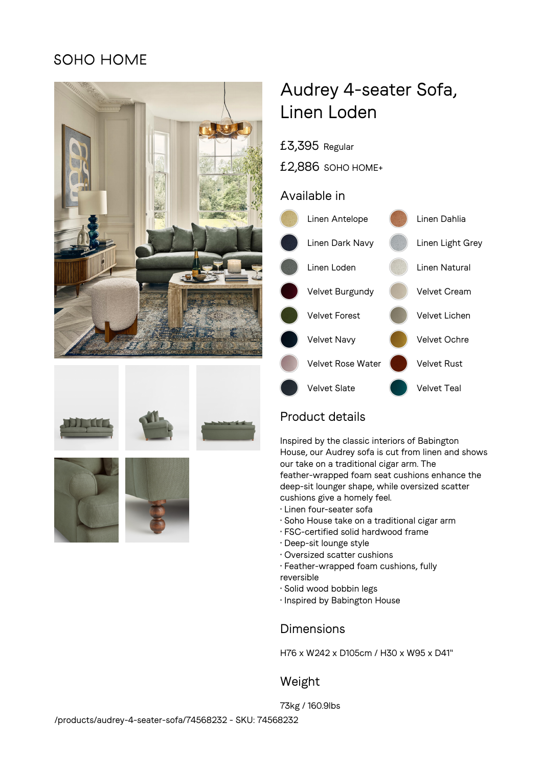## SOHO HOME







# Audrey 4-seater Sofa, Linen Loden

£3,395 Regular

£2,886 SOHO HOME+

### Available in



## Product details

Inspired by the classic interiors of Babington House, our Audrey sofa is cut from linen and shows our take on a traditional cigar arm. The feather-wrapped foam seat cushions enhance the deep-sit lounger shape, while oversized scatter cushions give a homely feel.

- Linen four-seater sofa
- Soho House take on a traditional cigar arm
- FSC-certified solid hardwood frame
- Deep-sit lounge style
- Oversized scatter cushions
- Feather-wrapped foam cushions, fully reversible
- Solid wood bobbin legs
- Inspired by Babington House

## **Dimensions**

H76 x W242 x D105cm / H30 x W95 x D41"

## Weight

73kg / 160.9lbs